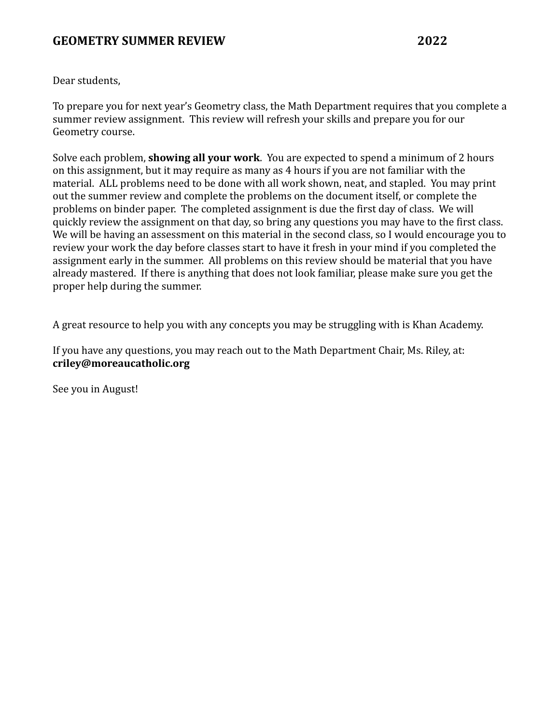Dear students,

To prepare you for next year's Geometry class, the Math Department requires that you complete a summer review assignment. This review will refresh your skills and prepare you for our Geometry course.

Solve each problem, **showing all your work**. You are expected to spend a minimum of 2 hours on this assignment, but it may require as many as 4 hours if you are not familiar with the material. ALL problems need to be done with all work shown, neat, and stapled. You may print out the summer review and complete the problems on the document itself, or complete the problems on binder paper. The completed assignment is due the first day of class. We will quickly review the assignment on that day, so bring any questions you may have to the first class. We will be having an assessment on this material in the second class, so I would encourage you to review your work the day before classes start to have it fresh in your mind if you completed the assignment early in the summer. All problems on this review should be material that you have already mastered. If there is anything that does not look familiar, please make sure you get the proper help during the summer.

A great resource to help you with any concepts you may be struggling with is Khan Academy.

If you have any questions, you may reach out to the Math Department Chair, Ms. Riley, at: **criley@moreaucatholic.org**

See you in August!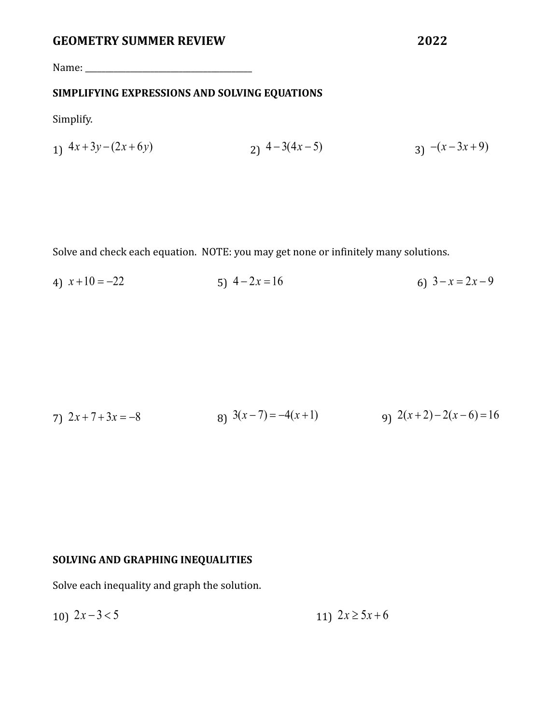Name: \_\_\_\_\_\_\_\_\_\_\_\_\_\_\_\_\_\_\_\_\_\_\_\_\_\_\_\_\_\_\_\_\_\_\_\_\_\_\_\_\_

# **SIMPLIFYING EXPRESSIONS AND SOLVING EQUATIONS**

Simplify.

$$
1) \ \ 4x + 3y - (2x + 6y) \ \ 2) \ \ 4 - 3(4x - 5) \ \ 3) \ \ -(x - 3x + 9)
$$

Solve and check each equation. NOTE: you may get none or infinitely many solutions.

4)  $x+10 = -22$ <br>5)  $4-2x = 16$ <br>6)  $3-x=2x-9$ 

7) 
$$
2x+7+3x = -8
$$
  
8)  $3(x-7) = -4(x+1)$   
9)  $2(x+2)-2(x-6) = 16$ 

# **SOLVING AND GRAPHING INEQUALITIES**

Solve each inequality and graph the solution.

10) 
$$
2x-3<5
$$
  
11)  $2x \ge 5x+6$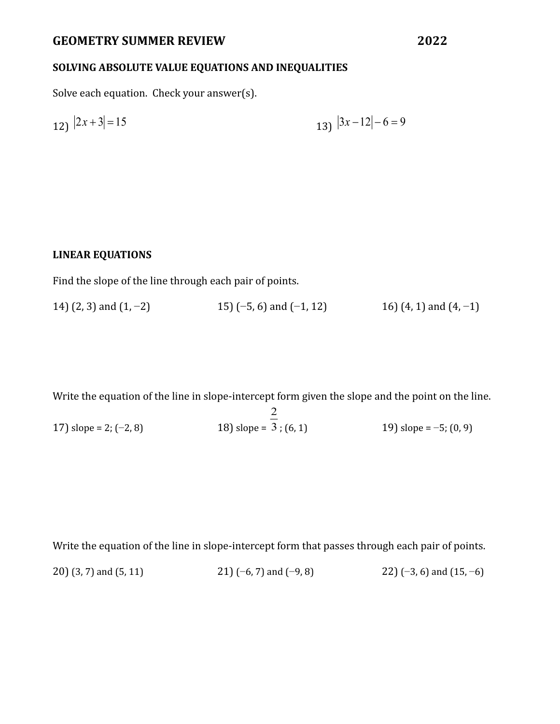# **SOLVING ABSOLUTE VALUE EQUATIONS AND INEQUALITIES**

Solve each equation. Check your answer(s).

$$
12 \quad |2x+3| = 15 \qquad \qquad 13 \quad |3x-12| - 6 = 9
$$

### **LINEAR EQUATIONS**

Find the slope of the line through each pair of points.

14) (2, 3) and (1, -2) 15) (-5, 6) and (-1, 12) 16) (4, 1) and (4, -1)

Write the equation of the line in slope-intercept form given the slope and the point on the line.

17) slope = 2; (−2, 8) 18) slope =  $\frac{2}{3}$ ; (6, 1) 19) slope = -5; (0, 9)

Write the equation of the line in slope-intercept form that passes through each pair of points.

20) (3, 7) and (5, 11) 21) (−6, 7) and (−9, 8) 22) (−3, 6) and (15, −6)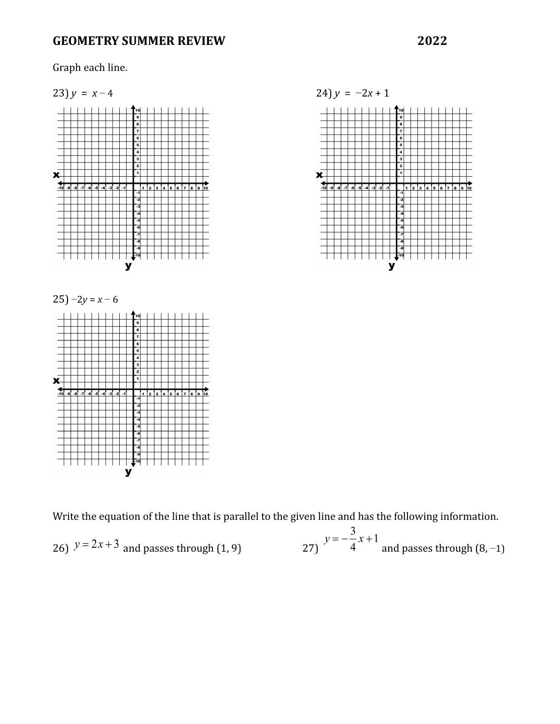Graph each line.



Write the equation of the line that is parallel to the given line and has the following information.

26) 
$$
y = 2x + 3
$$
 and passes through (1, 9)  $y = -\frac{3}{4}x + 1$  and passes through (8, -1)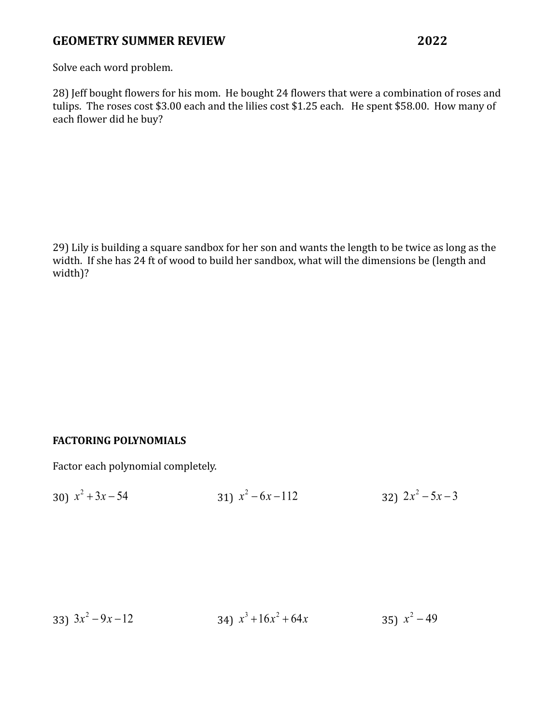Solve each word problem.

28) Jeff bought flowers for his mom. He bought 24 flowers that were a combination of roses and tulips. The roses cost \$3.00 each and the lilies cost \$1.25 each. He spent \$58.00. How many of each flower did he buy?

29) Lily is building a square sandbox for her son and wants the length to be twice as long as the width. If she has 24 ft of wood to build her sandbox, what will the dimensions be (length and width)?

## **FACTORING POLYNOMIALS**

Factor each polynomial completely.

30) 
$$
x^2 + 3x - 54
$$
  
31)  $x^2 - 6x - 112$   
32)  $2x^2 - 5x - 3$ 

33) 
$$
3x^2 - 9x - 12
$$
  
34)  $x^3 + 16x^2 + 64x$   
35)  $x^2 - 49$